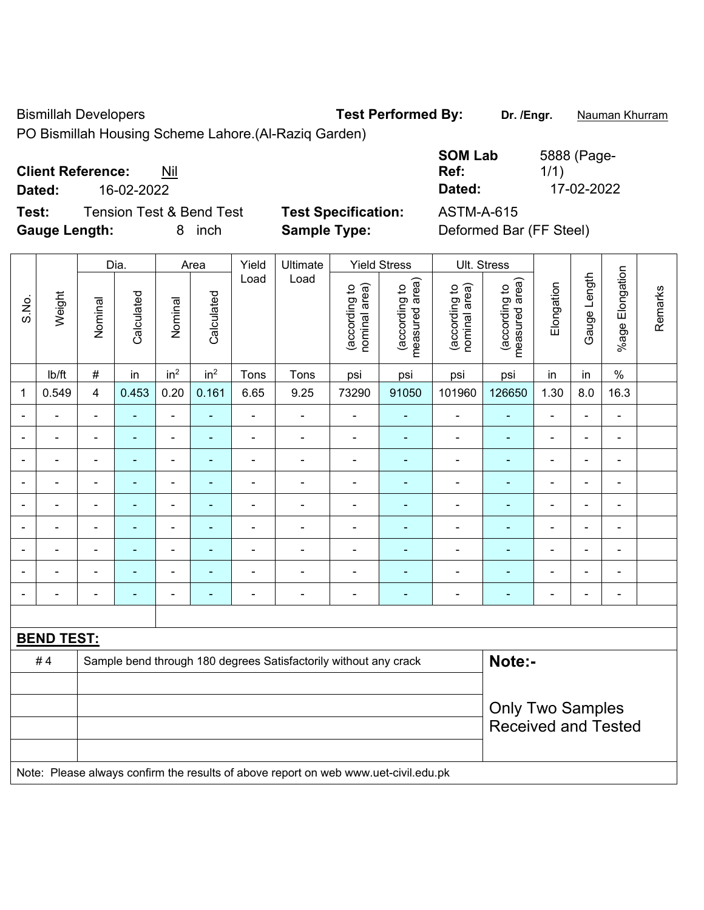Bismillah Developers **Test Performed By:** Dr. /Engr. **Nauman Khurram** 

PO Bismillah Housing Scheme Lahore.(Al-Raziq Garden)

**Test:** Tension Test & Bend Test **Test Specification:** ASTM-A-615 **Gauge Length:** 8 inch **Sample Type:** Deformed Bar (FF Steel)

**SOM Lab Ref:**  5888 (Page-1/1) **Dated:** 16-02-2022 **Dated:** 17-02-2022

|                          |                   |                         | Dia.           |                 | Area            | Yield          | Ultimate                                                                            |                                | <b>Yield Stress</b>             |                                | Ult. Stress                     |                              |                |                              |         |
|--------------------------|-------------------|-------------------------|----------------|-----------------|-----------------|----------------|-------------------------------------------------------------------------------------|--------------------------------|---------------------------------|--------------------------------|---------------------------------|------------------------------|----------------|------------------------------|---------|
| S.No.                    | Weight            | Nominal                 | Calculated     | Nominal         | Calculated      | Load           | Load                                                                                | nominal area)<br>(according to | (according to<br>measured area) | nominal area)<br>(according to | (according to<br>measured area) | Elongation                   | Gauge Length   | %age Elongation              | Remarks |
|                          | Ib/ft             | $\#$                    | in             | in <sup>2</sup> | in <sup>2</sup> | Tons           | Tons                                                                                | psi                            | psi                             | psi                            | psi                             | in                           | in             | $\%$                         |         |
| $\mathbf 1$              | 0.549             | $\overline{4}$          | 0.453          | 0.20            | 0.161           | 6.65           | 9.25                                                                                | 73290                          | 91050                           | 101960                         | 126650                          | 1.30                         | 8.0            | 16.3                         |         |
| ÷                        |                   | $\blacksquare$          |                | $\blacksquare$  | ÷,              | $\blacksquare$ | $\frac{1}{2}$                                                                       | $\blacksquare$                 | ÷,                              | $\blacksquare$                 |                                 | ä,                           | $\blacksquare$ | $\blacksquare$               |         |
| $\overline{\phantom{a}}$ |                   | $\blacksquare$          | ä,             | ÷,              | $\blacksquare$  | $\blacksquare$ | $\frac{1}{2}$                                                                       | $\blacksquare$                 | $\blacksquare$                  | $\overline{\phantom{a}}$       | ÷                               | $\qquad \qquad \blacksquare$ | $\blacksquare$ | $\overline{\phantom{a}}$     |         |
| $\blacksquare$           | ۳                 | $\blacksquare$          | ä,             | $\blacksquare$  | ÷               | $\blacksquare$ | $\overline{\phantom{a}}$                                                            | $\blacksquare$                 | $\blacksquare$                  | $\overline{\phantom{a}}$       | ۰                               | $\blacksquare$               | $\blacksquare$ | $\qquad \qquad \blacksquare$ |         |
| $\blacksquare$           | ۳                 | $\blacksquare$          | ä,             | $\blacksquare$  | ÷               | $\blacksquare$ | $\blacksquare$                                                                      | $\blacksquare$                 | $\blacksquare$                  | $\blacksquare$                 | ä,                              | $\blacksquare$               | ä,             | $\blacksquare$               |         |
|                          | ÷                 | $\blacksquare$          | ÷,             | $\blacksquare$  | ÷               | $\frac{1}{2}$  | $\frac{1}{2}$                                                                       | $\blacksquare$                 | $\blacksquare$                  | $\blacksquare$                 | ÷                               | -                            | $\blacksquare$ | $\blacksquare$               |         |
|                          |                   |                         | $\blacksquare$ | ä,              | $\blacksquare$  | $\blacksquare$ | $\blacksquare$                                                                      | $\overline{\phantom{0}}$       | ä,                              | $\blacksquare$                 | ۰                               |                              | $\blacksquare$ | $\blacksquare$               |         |
| ۰                        |                   | $\blacksquare$          | $\blacksquare$ | $\blacksquare$  | ä,              | $\blacksquare$ | $\blacksquare$                                                                      | $\blacksquare$                 |                                 | Ē,                             |                                 | $\blacksquare$               | $\blacksquare$ | $\blacksquare$               |         |
|                          |                   |                         | ÷,             | ÷               | ÷               |                | $\blacksquare$                                                                      | $\blacksquare$                 | $\blacksquare$                  | Ē,                             | ۰                               | ÷                            | $\blacksquare$ | $\blacksquare$               |         |
| $\blacksquare$           |                   | $\blacksquare$          | ۰              | ۰               | ۰               | $\blacksquare$ | $\overline{\phantom{a}}$                                                            | $\blacksquare$                 | ٠                               | $\overline{\phantom{a}}$       | ٠                               | $\overline{a}$               | $\blacksquare$ | $\blacksquare$               |         |
|                          |                   |                         |                |                 |                 |                |                                                                                     |                                |                                 |                                |                                 |                              |                |                              |         |
|                          | <b>BEND TEST:</b> |                         |                |                 |                 |                |                                                                                     |                                |                                 |                                |                                 |                              |                |                              |         |
|                          | #4                |                         |                |                 |                 |                | Sample bend through 180 degrees Satisfactorily without any crack                    |                                |                                 |                                | Note:-                          |                              |                |                              |         |
|                          |                   |                         |                |                 |                 |                |                                                                                     |                                |                                 |                                |                                 |                              |                |                              |         |
|                          |                   | <b>Only Two Samples</b> |                |                 |                 |                |                                                                                     |                                |                                 |                                |                                 |                              |                |                              |         |
|                          |                   |                         |                |                 |                 |                |                                                                                     |                                |                                 |                                | <b>Received and Tested</b>      |                              |                |                              |         |
|                          |                   |                         |                |                 |                 |                |                                                                                     |                                |                                 |                                |                                 |                              |                |                              |         |
|                          |                   |                         |                |                 |                 |                | Note: Please always confirm the results of above report on web www.uet-civil.edu.pk |                                |                                 |                                |                                 |                              |                |                              |         |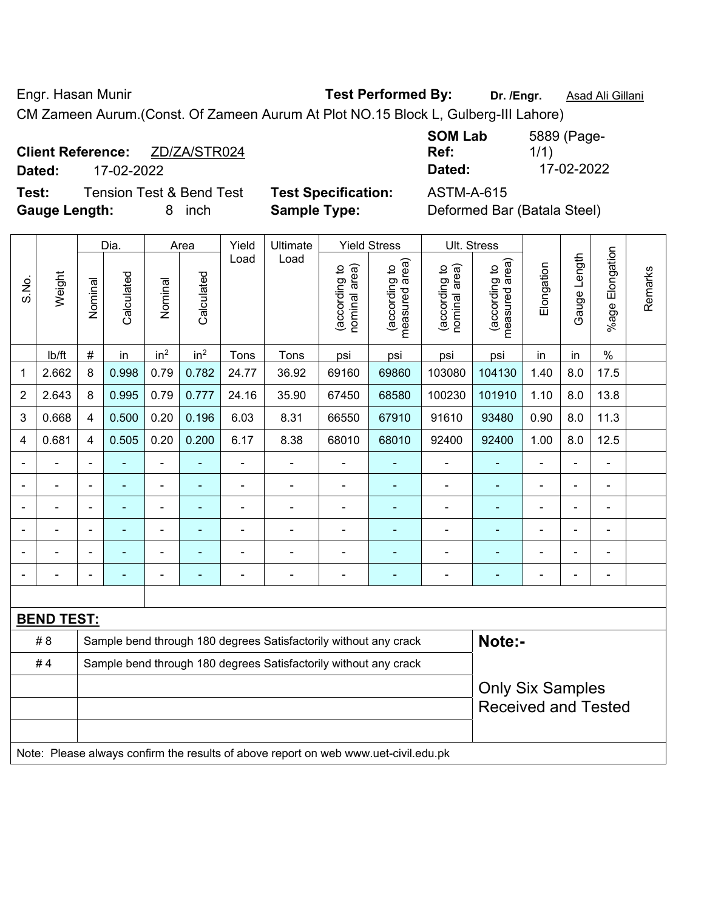Engr. Hasan Munir **Test Performed By: Dr. /Engr.** Asad Ali Gillani

**SOM Lab** 

CM Zameen Aurum.(Const. Of Zameen Aurum At Plot NO.15 Block L, Gulberg-III Lahore)

|  | <b>Client Reference:</b> |  | ZD/ZA/STR024 |  |  |
|--|--------------------------|--|--------------|--|--|
|  |                          |  |              |  |  |

**Test:** Tension Test & Bend Test **Test Specification:** ASTM-A-615 **Gauge Length:** 8 inch **Sample Type:** Deformed Bar (Batala Steel)

**Ref:**  1/1) **Dated:** 17-02-2022 **Dated:** 17-02-2022

5889 (Page-

|                |                                                                                     |                | Dia.           |                 | Area            | Yield                    | <b>Ultimate</b>                                                  | <b>Yield Stress</b>            | Ult. Stress                     |                                |                                 |                |                          |                    |         |
|----------------|-------------------------------------------------------------------------------------|----------------|----------------|-----------------|-----------------|--------------------------|------------------------------------------------------------------|--------------------------------|---------------------------------|--------------------------------|---------------------------------|----------------|--------------------------|--------------------|---------|
| S.No.          | Weight                                                                              | Nominal        | Calculated     | Nominal         | Calculated      | Load                     | Load                                                             | nominal area)<br>(according to | measured area)<br>(according to | nominal area)<br>(according to | measured area)<br>(according to | Elongation     | Gauge Length             | Elongation<br>%age | Remarks |
|                | Ib/ft                                                                               | $\#$           | in             | in <sup>2</sup> | in <sup>2</sup> | Tons                     | Tons                                                             | psi                            | psi                             | psi                            | psi                             | in             | in                       | $\%$               |         |
| 1              | 2.662                                                                               | 8              | 0.998          | 0.79            | 0.782           | 24.77                    | 36.92                                                            | 69160                          | 69860                           | 103080                         | 104130                          | 1.40           | 8.0                      | 17.5               |         |
| $\overline{2}$ | 2.643                                                                               | 8              | 0.995          | 0.79            | 0.777           | 24.16                    | 35.90                                                            | 67450                          | 68580                           | 100230                         | 101910                          | 1.10           | 8.0                      | 13.8               |         |
| 3              | 0.668                                                                               | 4              | 0.500          | 0.20            | 0.196           | 6.03                     | 8.31                                                             | 66550                          | 67910                           | 91610                          | 93480                           | 0.90           | 8.0                      | 11.3               |         |
| 4              | 0.681                                                                               | 4              | 0.505          | 0.20            | 0.200           | 6.17                     | 8.38                                                             | 68010                          | 68010                           | 92400                          | 92400                           | 1.00           | 8.0                      | 12.5               |         |
|                |                                                                                     | $\blacksquare$ |                | $\blacksquare$  | $\blacksquare$  | $\overline{\phantom{a}}$ | $\overline{\phantom{a}}$                                         | $\overline{\phantom{a}}$       | ٠                               | $\blacksquare$                 | $\blacksquare$                  | $\blacksquare$ | $\overline{\phantom{a}}$ | ä,                 |         |
|                | ä,                                                                                  | ä,             |                | ÷,              | ÷               | $\blacksquare$           | $\blacksquare$                                                   | $\blacksquare$                 | ÷,                              | L,                             | ÷                               | $\blacksquare$ | Ē,                       | $\blacksquare$     |         |
|                | $\blacksquare$                                                                      | $\blacksquare$ | $\blacksquare$ | $\blacksquare$  | ٠               | $\blacksquare$           | $\blacksquare$                                                   | $\blacksquare$                 | ۰                               | ä,                             | ٠                               | $\blacksquare$ |                          | $\blacksquare$     |         |
|                |                                                                                     | $\blacksquare$ |                | ÷               |                 | $\overline{\phantom{0}}$ | $\blacksquare$                                                   | Ē,                             |                                 |                                |                                 |                |                          |                    |         |
|                |                                                                                     |                |                |                 |                 |                          |                                                                  |                                |                                 |                                | ۰                               |                |                          |                    |         |
|                |                                                                                     |                |                |                 |                 |                          |                                                                  |                                |                                 |                                |                                 |                |                          | Ē,                 |         |
|                |                                                                                     |                |                |                 |                 |                          |                                                                  |                                |                                 |                                |                                 |                |                          |                    |         |
|                | <b>BEND TEST:</b>                                                                   |                |                |                 |                 |                          |                                                                  |                                |                                 |                                |                                 |                |                          |                    |         |
|                | #8                                                                                  |                |                |                 |                 |                          | Sample bend through 180 degrees Satisfactorily without any crack |                                |                                 |                                | Note:-                          |                |                          |                    |         |
|                | #4                                                                                  |                |                |                 |                 |                          | Sample bend through 180 degrees Satisfactorily without any crack |                                |                                 |                                |                                 |                |                          |                    |         |
|                |                                                                                     |                |                |                 |                 |                          |                                                                  |                                |                                 |                                | <b>Only Six Samples</b>         |                |                          |                    |         |
|                |                                                                                     |                |                |                 |                 |                          |                                                                  |                                |                                 |                                | <b>Received and Tested</b>      |                |                          |                    |         |
|                |                                                                                     |                |                |                 |                 |                          |                                                                  |                                |                                 |                                |                                 |                |                          |                    |         |
|                | Note: Please always confirm the results of above report on web www.uet-civil.edu.pk |                |                |                 |                 |                          |                                                                  |                                |                                 |                                |                                 |                |                          |                    |         |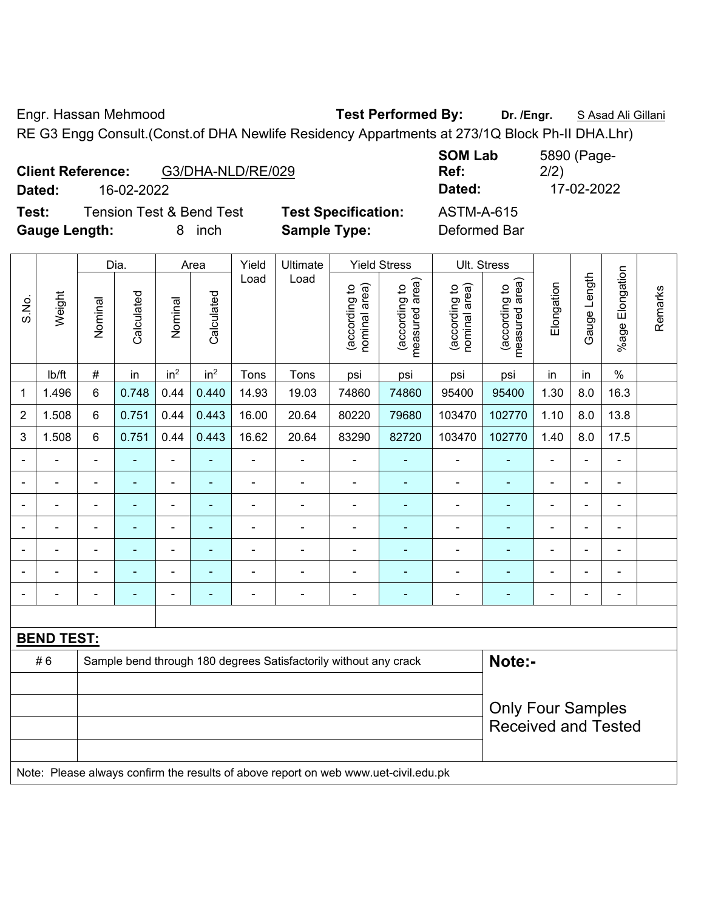Engr. Hassan Mehmood **Test Performed By: Dr. /Engr.** S Asad Ali Gillani

RE G3 Engg Consult.(Const.of DHA Newlife Residency Appartments at 273/1Q Block Ph-II DHA.Lhr)

|        | <b>Client Reference:</b><br>G3/DHA-NLD/RE/029 |                            | <b>SUM LAD</b><br>Ref: | <b>JOYU (Faye-</b><br>2/2) |
|--------|-----------------------------------------------|----------------------------|------------------------|----------------------------|
| Dated: | 16-02-2022                                    |                            | Dated:                 | 17-02-2022                 |
| Test:  | <b>Tension Test &amp; Bend Test</b>           | <b>Test Specification:</b> | ASTM-A-615             |                            |
|        |                                               |                            |                        |                            |

st Specification: **ASTM-A-615 Gauge Length:** 8 inch **Sample Type:** Deformed Bar

**SOM Lab Ref:**  5890 (Page-2/2)

|                          | ־ט                | -סייט          |                                                                  |                 |                 |                          |                          | ייין ני                        |                                 |                                |                                 |                              |                |                          |         |
|--------------------------|-------------------|----------------|------------------------------------------------------------------|-----------------|-----------------|--------------------------|--------------------------|--------------------------------|---------------------------------|--------------------------------|---------------------------------|------------------------------|----------------|--------------------------|---------|
|                          |                   |                | Dia.                                                             |                 | Area            | Yield                    | Ultimate                 |                                | <b>Yield Stress</b>             |                                | Ult. Stress                     |                              |                |                          |         |
| S.No.                    | Weight            | Nominal        | Calculated                                                       | Nominal         | Calculated      | Load                     | Load                     | nominal area)<br>(according to | measured area)<br>(according to | nominal area)<br>(according to | measured area)<br>(according to | Elongation                   | Gauge Length   | %age Elongation          | Remarks |
|                          | Ib/ft             | $\#$           | in                                                               | in <sup>2</sup> | in <sup>2</sup> | Tons                     | Tons                     | psi                            | psi                             | psi                            | psi                             | in                           | in             | $\%$                     |         |
| 1                        | 1.496             | 6              | 0.748                                                            | 0.44            | 0.440           | 14.93                    | 19.03                    | 74860                          | 74860                           | 95400                          | 95400                           | 1.30                         | 8.0            | 16.3                     |         |
| $\overline{2}$           | 1.508             | 6              | 0.751                                                            | 0.44            | 0.443           | 16.00                    | 20.64                    | 80220                          | 79680                           | 103470                         | 102770                          | 1.10                         | 8.0            | 13.8                     |         |
| 3                        | 1.508             | 6              | 0.751                                                            | 0.44            | 0.443           | 16.62                    | 20.64                    | 83290                          | 82720                           | 103470                         | 102770                          | 1.40                         | 8.0            | 17.5                     |         |
|                          |                   | $\blacksquare$ |                                                                  | ä,              | $\blacksquare$  |                          | $\overline{a}$           | $\blacksquare$                 | $\blacksquare$                  | $\blacksquare$                 | ÷                               | $\qquad \qquad \blacksquare$ | $\blacksquare$ | -                        |         |
|                          |                   | $\blacksquare$ |                                                                  | $\overline{a}$  | ÷               | $\overline{a}$           | $\blacksquare$           | $\blacksquare$                 | $\overline{\phantom{0}}$        |                                | ٠                               | $\blacksquare$               | $\blacksquare$ | -                        |         |
| $\blacksquare$           |                   | $\blacksquare$ | ÷,                                                               | $\blacksquare$  | ٠               | $\blacksquare$           | $\blacksquare$           | $\blacksquare$                 | $\blacksquare$                  | $\blacksquare$                 | ÷                               | $\blacksquare$               | $\blacksquare$ | $\blacksquare$           |         |
| $\blacksquare$           | $\blacksquare$    | $\blacksquare$ | ÷                                                                | $\blacksquare$  | ٠               | $\blacksquare$           | $\blacksquare$           | $\blacksquare$                 | $\blacksquare$                  | $\blacksquare$                 | ٠                               | $\qquad \qquad \blacksquare$ | $\blacksquare$ | $\blacksquare$           |         |
|                          |                   | $\blacksquare$ |                                                                  | ÷               | ä,              | $\blacksquare$           | $\blacksquare$           | $\blacksquare$                 | ٠                               | Ē,                             | ÷                               | $\blacksquare$               | $\blacksquare$ | $\blacksquare$           |         |
|                          |                   | ÷              |                                                                  | ۰               |                 | $\overline{\phantom{0}}$ | $\overline{\phantom{0}}$ | $\blacksquare$                 | $\overline{\phantom{a}}$        | Ē,                             | $\overline{\phantom{a}}$        | ۰                            |                | ۰                        |         |
| $\overline{\phantom{a}}$ |                   | $\blacksquare$ | ÷,                                                               | $\blacksquare$  | ÷               | $\blacksquare$           | $\blacksquare$           | $\blacksquare$                 | $\blacksquare$                  | $\blacksquare$                 | ÷                               | $\overline{\phantom{a}}$     | $\blacksquare$ | $\overline{\phantom{a}}$ |         |
|                          |                   |                |                                                                  |                 |                 |                          |                          |                                |                                 |                                |                                 |                              |                |                          |         |
|                          | <b>BEND TEST:</b> |                |                                                                  |                 |                 |                          |                          |                                |                                 |                                |                                 |                              |                |                          |         |
|                          | #6                |                | Sample bend through 180 degrees Satisfactorily without any crack |                 | Note:-          |                          |                          |                                |                                 |                                |                                 |                              |                |                          |         |
|                          |                   |                |                                                                  |                 |                 |                          |                          |                                |                                 |                                |                                 |                              |                |                          |         |
|                          |                   |                |                                                                  |                 |                 |                          |                          |                                |                                 |                                | <b>Only Four Samples</b>        |                              |                |                          |         |
|                          |                   |                |                                                                  |                 |                 |                          |                          | <b>Received and Tested</b>     |                                 |                                |                                 |                              |                |                          |         |
|                          |                   |                |                                                                  |                 |                 |                          |                          |                                |                                 |                                |                                 |                              |                |                          |         |

Note: Please always confirm the results of above report on web www.uet-civil.edu.pk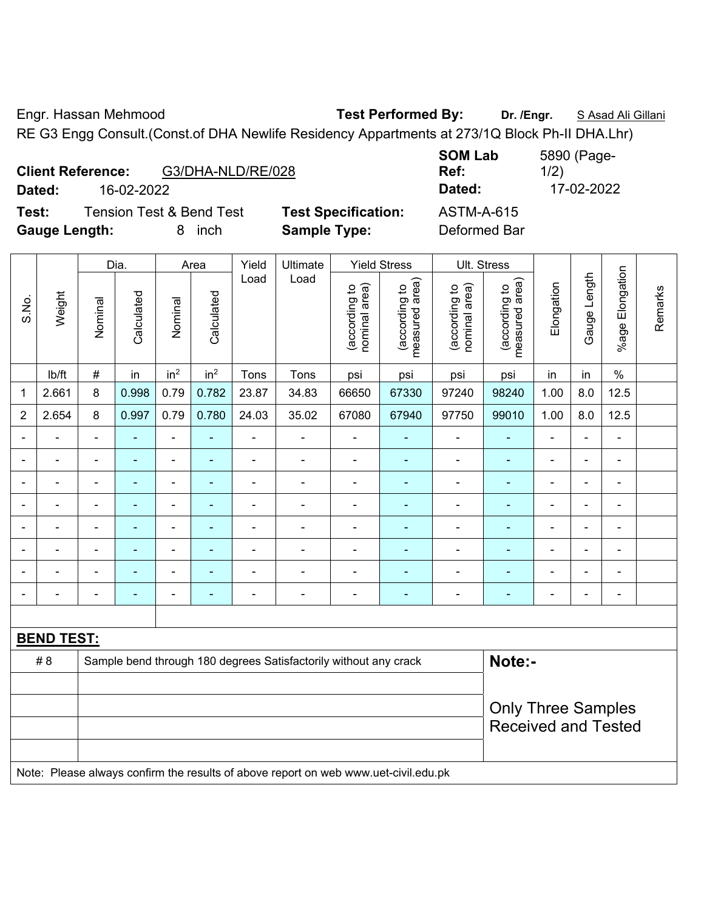Engr. Hassan Mehmood **Test Performed By: Dr. /Engr.** S Asad Ali Gillani

RE G3 Engg Consult.(Const.of DHA Newlife Residency Appartments at 273/1Q Block Ph-II DHA.Lhr)

| <b>Client Reference:</b> | G3/DHA-NLD/RE/028                   |                            | <b>JUIVI LAN</b><br>Ref: |
|--------------------------|-------------------------------------|----------------------------|--------------------------|
| Dated:                   | 16-02-2022                          |                            | Dated:                   |
| Test:                    | <b>Tension Test &amp; Bend Test</b> | <b>Test Specification:</b> | <b>ASTM-A-615</b>        |
| <b>Gauge Length:</b>     | inch                                | <b>Sample Type:</b>        | Deformed Bar             |

**SOM Lab Ref:**  5890 (Page-1/2) **Dated:** 16-02-2022 **Dated:** 17-02-2022 **Testion:** ASTM-A-615

|                |                   |                | Dia.           |                 | Area                     | Yield          | Ultimate                                                                            |                                | <b>Yield Stress</b>             | Ult. Stress                    |                                 |                |                |                          |         |
|----------------|-------------------|----------------|----------------|-----------------|--------------------------|----------------|-------------------------------------------------------------------------------------|--------------------------------|---------------------------------|--------------------------------|---------------------------------|----------------|----------------|--------------------------|---------|
| S.No.          | Weight            | Nominal        | Calculated     | Nominal         | Calculated               | Load           | Load                                                                                | nominal area)<br>(according to | (according to<br>measured area) | nominal area)<br>(according to | measured area)<br>(according to | Elongation     | Gauge Length   | Elongation<br>$%$ age    | Remarks |
|                | lb/ft             | #              | in             | in <sup>2</sup> | in <sup>2</sup>          | Tons           | Tons                                                                                | psi                            | psi                             | psi                            | psi                             | in             | in             | $\%$                     |         |
| 1              | 2.661             | 8              | 0.998          | 0.79            | 0.782                    | 23.87          | 34.83                                                                               | 66650                          | 67330                           | 97240                          | 98240                           | 1.00           | 8.0            | 12.5                     |         |
| $\overline{2}$ | 2.654             | 8              | 0.997          | 0.79            | 0.780                    | 24.03          | 35.02                                                                               | 67080                          | 67940                           | 97750                          | 99010                           | 1.00           | 8.0            | 12.5                     |         |
| $\blacksquare$ |                   | $\blacksquare$ | $\blacksquare$ | ÷,              | $\blacksquare$           | ä,             | ä,                                                                                  | $\blacksquare$                 | ۰                               | $\blacksquare$                 | $\blacksquare$                  | ä,             | $\blacksquare$ | $\blacksquare$           |         |
|                |                   | ä,             | $\blacksquare$ | ä,              |                          | ä,             | $\overline{a}$                                                                      | $\blacksquare$                 | ä,                              | $\overline{a}$                 | ä,                              | Ě.             |                | ä,                       |         |
|                |                   | $\blacksquare$ | $\blacksquare$ | $\blacksquare$  |                          | $\blacksquare$ | $\blacksquare$                                                                      | $\blacksquare$                 | $\blacksquare$                  | $\blacksquare$                 | $\blacksquare$                  | $\blacksquare$ |                | $\blacksquare$           |         |
|                |                   |                |                |                 |                          |                |                                                                                     |                                |                                 |                                |                                 |                |                | $\blacksquare$           |         |
|                |                   |                |                | ÷               |                          |                | ä,                                                                                  | $\blacksquare$                 | ÷                               |                                | $\blacksquare$                  | ÷              |                | ä,                       |         |
| $\blacksquare$ |                   | $\blacksquare$ |                | $\blacksquare$  |                          |                |                                                                                     |                                |                                 |                                |                                 | $\blacksquare$ |                | $\blacksquare$           |         |
| $\overline{a}$ |                   | $\blacksquare$ |                | $\blacksquare$  |                          | $\blacksquare$ | $\blacksquare$                                                                      | $\blacksquare$                 | ÷                               |                                | $\blacksquare$                  | $\blacksquare$ |                | ä,                       |         |
| $\blacksquare$ |                   | Ē,             |                | $\blacksquare$  | $\overline{\phantom{a}}$ | Ē,             | $\blacksquare$                                                                      | $\overline{a}$                 | ÷                               | ٠                              | $\blacksquare$                  | ÷              | $\blacksquare$ | $\overline{\phantom{a}}$ |         |
|                |                   |                |                |                 |                          |                |                                                                                     |                                |                                 |                                |                                 |                |                |                          |         |
|                | <b>BEND TEST:</b> |                |                |                 |                          |                |                                                                                     |                                |                                 |                                |                                 |                |                |                          |         |
|                | # 8               |                |                |                 |                          |                | Sample bend through 180 degrees Satisfactorily without any crack                    |                                |                                 |                                | Note:-                          |                |                |                          |         |
|                |                   |                |                |                 |                          |                |                                                                                     |                                |                                 |                                |                                 |                |                |                          |         |
|                |                   |                |                |                 |                          |                |                                                                                     |                                |                                 |                                | <b>Only Three Samples</b>       |                |                |                          |         |
|                |                   |                |                |                 |                          |                |                                                                                     |                                |                                 |                                | <b>Received and Tested</b>      |                |                |                          |         |
|                |                   |                |                |                 |                          |                |                                                                                     |                                |                                 |                                |                                 |                |                |                          |         |
|                |                   |                |                |                 |                          |                | Note: Please always confirm the results of above report on web www.uet-civil.edu.pk |                                |                                 |                                |                                 |                |                |                          |         |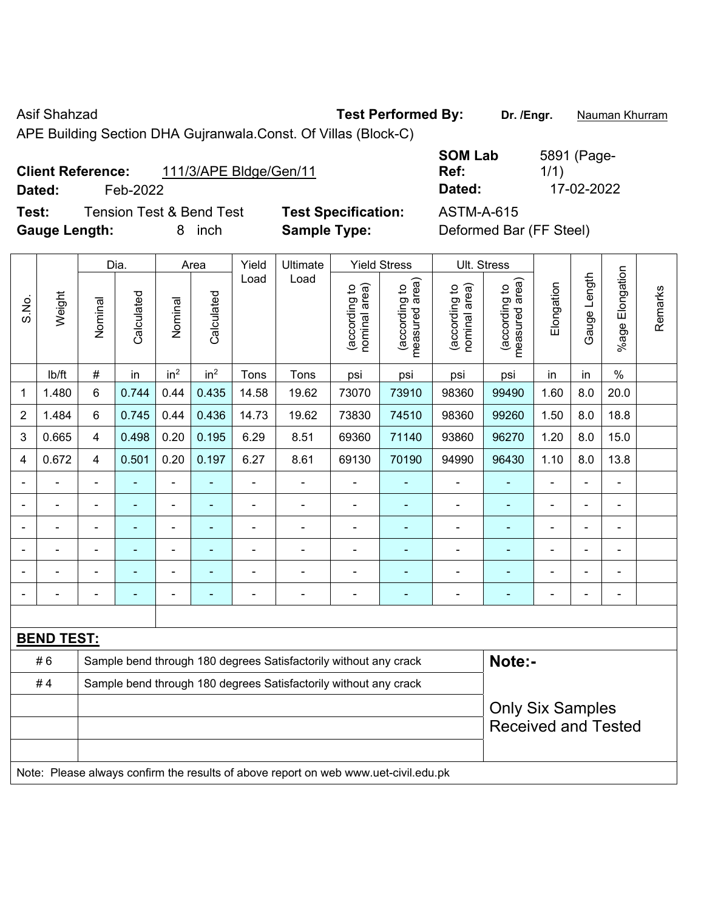Asif Shahzad **Test Performed By:** Dr. /Engr. **Nauman Khurram** 

APE Building Section DHA Gujranwala.Const. Of Villas (Block-C)

| <b>Client Reference:</b> | 111/3/APE Bldge/Gen/11 |
|--------------------------|------------------------|
|                          |                        |

**Test:** Tension Test & Bend Test **Test Specification:** ASTM-A-615 **Gauge Length:** 8 inch **Sample Type:** Deformed Bar (FF Steel)

**SOM Lab Ref:**  5891 (Page-1/1) **Dated:** Feb-2022 **Dated:** 17-02-2022

|              |                                                                                     |                                                                  | Dia.           |                 | Area            | Yield          | Ultimate                                                         | <b>Yield Stress</b>            |                                 | Ult. Stress                    |                                 |                |                |                          |         |
|--------------|-------------------------------------------------------------------------------------|------------------------------------------------------------------|----------------|-----------------|-----------------|----------------|------------------------------------------------------------------|--------------------------------|---------------------------------|--------------------------------|---------------------------------|----------------|----------------|--------------------------|---------|
| S.No.        | Weight                                                                              | Nominal                                                          | Calculated     | Nominal         | Calculated      | Load           | Load                                                             | nominal area)<br>(according to | (according to<br>measured area) | nominal area)<br>(according to | measured area)<br>(according to | Elongation     | Gauge Length   | Elongation<br>$%$ age    | Remarks |
|              | lb/ft                                                                               | $\#$                                                             | in             | in <sup>2</sup> | in <sup>2</sup> | Tons           | Tons                                                             | psi                            | psi                             | psi                            | psi                             | in             | in             | $\frac{0}{0}$            |         |
| $\mathbf{1}$ | 1.480                                                                               | 6                                                                | 0.744          | 0.44            | 0.435           | 14.58          | 19.62                                                            | 73070                          | 73910                           | 98360                          | 99490                           | 1.60           | 8.0            | 20.0                     |         |
| 2            | 1.484                                                                               | 6                                                                | 0.745          | 0.44            | 0.436           | 14.73          | 19.62                                                            | 73830                          | 74510                           | 98360                          | 99260                           | 1.50           | 8.0            | 18.8                     |         |
| 3            | 0.665                                                                               | 4                                                                | 0.498          | 0.20            | 0.195           | 6.29           | 8.51                                                             | 69360                          | 71140                           | 93860                          | 96270                           | 1.20           | 8.0            | 15.0                     |         |
| 4            | 0.672                                                                               | 4                                                                | 0.501          | 0.20            | 0.197           | 6.27           | 8.61                                                             | 69130                          | 70190                           | 94990                          | 96430                           | 1.10           | 8.0            | 13.8                     |         |
|              |                                                                                     | $\blacksquare$                                                   | ä,             | $\blacksquare$  | ÷               | ä,             | $\blacksquare$                                                   | $\blacksquare$                 | $\blacksquare$                  | ÷,                             | ÷,                              | ÷              | $\blacksquare$ | $\blacksquare$           |         |
|              |                                                                                     | ä,                                                               | $\blacksquare$ | $\blacksquare$  | ä,              | ä,             | $\blacksquare$                                                   | $\blacksquare$                 | ÷                               | ÷,                             | ÷,                              |                | ä,             | $\blacksquare$           |         |
|              |                                                                                     | $\blacksquare$                                                   |                | $\blacksquare$  | ۰               | $\blacksquare$ | $\blacksquare$                                                   | Ē,                             | $\sim$                          |                                | ÷,                              | $\blacksquare$ |                | $\blacksquare$           |         |
|              |                                                                                     | $\blacksquare$                                                   |                | ۰               |                 | $\blacksquare$ | $\overline{\phantom{0}}$                                         | $\blacksquare$                 | ÷                               | ä,                             | $\overline{\phantom{a}}$        | $\overline{a}$ | $\blacksquare$ | $\blacksquare$           |         |
|              |                                                                                     | ٠                                                                |                | ۰               |                 | $\blacksquare$ | $\overline{a}$                                                   | Ē,                             | ÷                               | ÷                              | ٠                               | $\blacksquare$ |                | $\overline{\phantom{a}}$ |         |
|              |                                                                                     | $\blacksquare$                                                   | ۰              | ۰               | ۰               | $\blacksquare$ | $\overline{a}$                                                   | $\blacksquare$                 | ÷                               | $\overline{\phantom{0}}$       | ÷,                              | ÷              | ÷              | $\blacksquare$           |         |
|              |                                                                                     |                                                                  |                |                 |                 |                |                                                                  |                                |                                 |                                |                                 |                |                |                          |         |
|              | <b>BEND TEST:</b>                                                                   |                                                                  |                |                 |                 |                |                                                                  |                                |                                 |                                |                                 |                |                |                          |         |
|              | #6                                                                                  |                                                                  |                |                 |                 |                | Sample bend through 180 degrees Satisfactorily without any crack |                                |                                 |                                | Note:-                          |                |                |                          |         |
|              | #4                                                                                  | Sample bend through 180 degrees Satisfactorily without any crack |                |                 |                 |                |                                                                  |                                |                                 |                                |                                 |                |                |                          |         |
|              |                                                                                     | <b>Only Six Samples</b>                                          |                |                 |                 |                |                                                                  |                                |                                 |                                |                                 |                |                |                          |         |
|              |                                                                                     |                                                                  |                |                 |                 |                |                                                                  |                                |                                 |                                | <b>Received and Tested</b>      |                |                |                          |         |
|              |                                                                                     |                                                                  |                |                 |                 |                |                                                                  |                                |                                 |                                |                                 |                |                |                          |         |
|              | Note: Please always confirm the results of above report on web www.uet-civil.edu.pk |                                                                  |                |                 |                 |                |                                                                  |                                |                                 |                                |                                 |                |                |                          |         |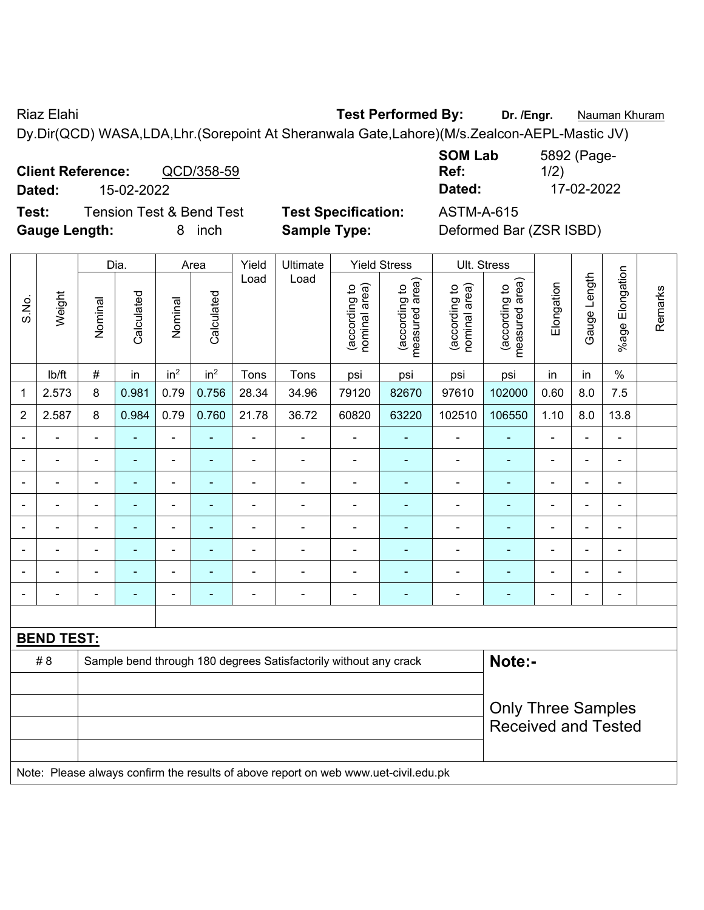Riaz Elahi **Test Performed By:** Dr. /Engr. **Nauman Khuram** 

Dy.Dir(QCD) WASA,LDA,Lhr.(Sorepoint At Sheranwala Gate,Lahore)(M/s.Zealcon-AEPL-Mastic JV)

**Client Reference:** QCD/358-59 **Dated:** 15-02-2022 **Dated:** 17-02-2022 **Test:** Tension Test & Bend Test **Test Specification:** ASTM-A-615

**Gauge Length:** 8 inch **Sample Type:** Deformed Bar (ZSR ISBD)

| <b>SOM Lab</b> | 5892 (Page- |
|----------------|-------------|
| Ref:           | 1/2)        |
| Dated:         | 17-02-2022  |
|                |             |

|                |                   | Dia.<br>Area   |                |                          |                 | Yield          | Ultimate                                                                            |                                | <b>Yield Stress</b>             |                                | Ult. Stress                     |                            |                |                       |         |
|----------------|-------------------|----------------|----------------|--------------------------|-----------------|----------------|-------------------------------------------------------------------------------------|--------------------------------|---------------------------------|--------------------------------|---------------------------------|----------------------------|----------------|-----------------------|---------|
| S.No.          | Weight            | Nominal        | Calculated     | Nominal                  | Calculated      | Load           | Load                                                                                | (according to<br>nominal area) | (according to<br>measured area) | (according to<br>nominal area) | measured area)<br>(according to | Elongation                 | Gauge Length   | Elongation<br>$%$ age | Remarks |
|                | lb/ft             | #              | in             | in <sup>2</sup>          | in <sup>2</sup> | Tons           | Tons                                                                                | psi                            | psi                             | psi                            | psi                             | in                         | in             | $\frac{0}{0}$         |         |
| $\mathbf 1$    | 2.573             | 8              | 0.981          | 0.79                     | 0.756           | 28.34          | 34.96                                                                               | 79120                          | 82670                           | 97610                          | 102000                          | 0.60                       | 8.0            | 7.5                   |         |
| $\overline{2}$ | 2.587             | 8              | 0.984          | 0.79                     | 0.760           | 21.78          | 36.72                                                                               | 60820                          | 63220                           | 102510                         | 106550                          | 1.10                       | 8.0            | 13.8                  |         |
|                |                   |                | $\blacksquare$ | ÷,                       |                 |                |                                                                                     | $\blacksquare$                 | ÷                               | $\blacksquare$                 | Ξ                               |                            |                | $\blacksquare$        |         |
|                |                   | $\blacksquare$ | $\blacksquare$ | ÷,                       | ٠               | ä,             | $\blacksquare$                                                                      | $\blacksquare$                 | $\blacksquare$                  | $\blacksquare$                 | ÷                               | $\blacksquare$             |                | $\blacksquare$        |         |
| $\blacksquare$ |                   | $\blacksquare$ | ä,             | ÷,                       | $\blacksquare$  | $\blacksquare$ | $\blacksquare$                                                                      | $\blacksquare$                 | ä,                              | $\blacksquare$                 | ÷                               | ä,                         | ä,             | $\blacksquare$        |         |
| $\blacksquare$ |                   | -              | $\blacksquare$ | $\overline{\phantom{a}}$ | ÷               | -              | $\blacksquare$                                                                      | $\blacksquare$                 | $\blacksquare$                  | $\blacksquare$                 | ٠                               | -                          | ٠              | $\blacksquare$        |         |
|                | $\blacksquare$    | $\blacksquare$ | $\blacksquare$ | $\blacksquare$           | $\blacksquare$  | $\blacksquare$ | $\overline{\phantom{a}}$                                                            | $\blacksquare$                 | $\blacksquare$                  | $\blacksquare$                 | $\blacksquare$                  | $\blacksquare$             |                | $\blacksquare$        |         |
|                |                   | $\blacksquare$ | $\blacksquare$ | $\blacksquare$           | ٠               |                |                                                                                     | $\blacksquare$                 | ÷,                              | $\blacksquare$                 | ÷                               |                            |                | $\overline{a}$        |         |
|                |                   |                |                | ÷,                       |                 |                |                                                                                     | $\blacksquare$                 |                                 |                                | ÷                               |                            |                |                       |         |
| $\blacksquare$ |                   | $\blacksquare$ | $\blacksquare$ | $\blacksquare$           | ٠               |                | $\blacksquare$                                                                      | $\blacksquare$                 | ÷                               | $\blacksquare$                 | ۰                               | $\blacksquare$             | $\blacksquare$ | $\blacksquare$        |         |
|                |                   |                |                |                          |                 |                |                                                                                     |                                |                                 |                                |                                 |                            |                |                       |         |
|                | <b>BEND TEST:</b> |                |                |                          |                 |                |                                                                                     |                                |                                 |                                |                                 |                            |                |                       |         |
|                | # 8               |                |                |                          |                 |                | Sample bend through 180 degrees Satisfactorily without any crack                    |                                |                                 |                                | Note:-                          |                            |                |                       |         |
|                |                   |                |                |                          |                 |                |                                                                                     |                                |                                 |                                |                                 |                            |                |                       |         |
|                |                   |                |                |                          |                 |                |                                                                                     |                                |                                 |                                | <b>Only Three Samples</b>       |                            |                |                       |         |
|                |                   |                |                |                          |                 |                |                                                                                     |                                |                                 |                                |                                 | <b>Received and Tested</b> |                |                       |         |
|                |                   |                |                |                          |                 |                |                                                                                     |                                |                                 |                                |                                 |                            |                |                       |         |
|                |                   |                |                |                          |                 |                | Note: Please always confirm the results of above report on web www.uet-civil.edu.pk |                                |                                 |                                |                                 |                            |                |                       |         |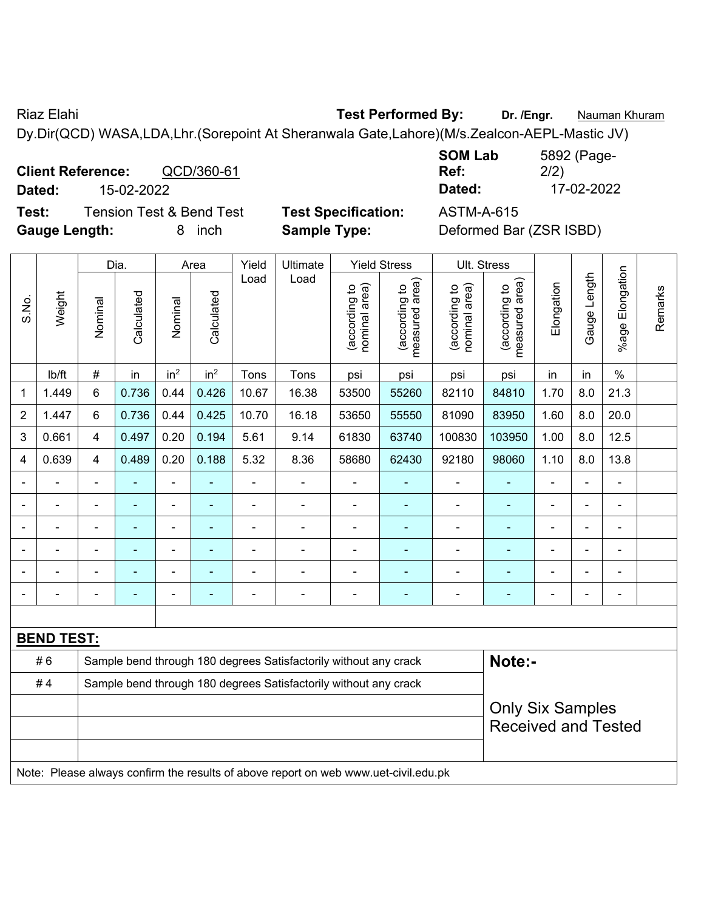Riaz Elahi **Test Performed By:** Dr. /Engr. **Nauman Khuram** Dy.Dir(QCD) WASA,LDA,Lhr.(Sorepoint At Sheranwala Gate,Lahore)(M/s.Zealcon-AEPL-Mastic JV)

**Client Reference:** QCD/360-61 **Dated:** 15-02-2022 **Dated:** 17-02-2022 **Test:** Tension Test & Bend Test **Test Specification:** ASTM-A-615

**Gauge Length:** 8 inch **Sample Type:** Deformed Bar (ZSR ISBD)

| <b>SOM Lab</b> | 5892 (Page- |
|----------------|-------------|
| Ref:           | 2/2)        |
| Dated:         | 17-02-2022  |

| S.No.          |                   |                | Dia.           |                 | Area            | Yield          | Ultimate                                                                            |                                | <b>Yield Stress</b>             | Ult. Stress                    |                                 |                         |                |                       |         |
|----------------|-------------------|----------------|----------------|-----------------|-----------------|----------------|-------------------------------------------------------------------------------------|--------------------------------|---------------------------------|--------------------------------|---------------------------------|-------------------------|----------------|-----------------------|---------|
|                | Weight            | Nominal        | Calculated     | Nominal         | Calculated      | Load           | Load                                                                                | nominal area)<br>(according to | (according to<br>measured area) | nominal area)<br>(according to | measured area)<br>(according to | Elongation              | Gauge Length   | Elongation<br>$%$ age | Remarks |
|                | Ib/ft             | $\#$           | in             | in <sup>2</sup> | in <sup>2</sup> | Tons           | Tons                                                                                | psi                            | psi                             | psi                            | psi                             | in                      | in             | $\%$                  |         |
| $\mathbf 1$    | 1.449             | 6              | 0.736          | 0.44            | 0.426           | 10.67          | 16.38                                                                               | 53500                          | 55260                           | 82110                          | 84810                           | 1.70                    | 8.0            | 21.3                  |         |
| $\overline{2}$ | 1.447             | 6              | 0.736          | 0.44            | 0.425           | 10.70          | 16.18                                                                               | 53650                          | 55550                           | 81090                          | 83950                           | 1.60                    | 8.0            | 20.0                  |         |
| 3              | 0.661             | 4              | 0.497          | 0.20            | 0.194           | 5.61           | 9.14                                                                                | 61830                          | 63740                           | 100830                         | 103950                          | 1.00                    | 8.0            | 12.5                  |         |
| 4              | 0.639             | 4              | 0.489          | 0.20            | 0.188           | 5.32           | 8.36                                                                                | 58680                          | 62430                           | 92180                          | 98060                           | 1.10                    | 8.0            | 13.8                  |         |
| $\blacksquare$ |                   | $\blacksquare$ |                | ä,              | L,              | L,             | $\blacksquare$                                                                      | $\overline{a}$                 | ÷                               | $\blacksquare$                 | ä,                              | ä,                      | $\blacksquare$ | $\blacksquare$        |         |
|                |                   | ä,             |                | ÷,              | $\blacksquare$  | $\overline{a}$ | $\blacksquare$                                                                      | $\blacksquare$                 | $\blacksquare$                  | $\qquad \qquad \blacksquare$   | ä,                              | ۰                       |                | $\blacksquare$        |         |
|                |                   | $\blacksquare$ | $\blacksquare$ | ä,              | ä,              | ä,             | $\blacksquare$                                                                      | $\blacksquare$                 | ÷                               | $\blacksquare$                 | ä,                              | ä,                      | $\blacksquare$ | $\blacksquare$        |         |
|                |                   | $\blacksquare$ | $\blacksquare$ | ÷               | $\blacksquare$  | ä,             | $\blacksquare$                                                                      | $\overline{\phantom{a}}$       | ÷                               | -                              | ٠                               | ÷                       |                | $\blacksquare$        |         |
|                |                   |                |                | ä,              |                 | L,             | ÷                                                                                   | $\blacksquare$                 | ä,                              | ä,                             | L,                              |                         |                | L,                    |         |
|                |                   | L              |                |                 |                 |                |                                                                                     | $\blacksquare$                 |                                 |                                | ÷,                              |                         |                | $\blacksquare$        |         |
|                |                   |                |                |                 |                 |                |                                                                                     |                                |                                 |                                |                                 |                         |                |                       |         |
|                | <b>BEND TEST:</b> |                |                |                 |                 |                |                                                                                     |                                |                                 |                                |                                 |                         |                |                       |         |
|                | #6                |                |                |                 |                 |                | Sample bend through 180 degrees Satisfactorily without any crack                    |                                |                                 |                                | Note:-                          |                         |                |                       |         |
|                | #4                |                |                |                 |                 |                | Sample bend through 180 degrees Satisfactorily without any crack                    |                                |                                 |                                |                                 |                         |                |                       |         |
|                |                   |                |                |                 |                 |                |                                                                                     |                                |                                 |                                |                                 | <b>Only Six Samples</b> |                |                       |         |
|                |                   |                |                |                 |                 |                |                                                                                     |                                |                                 |                                | <b>Received and Tested</b>      |                         |                |                       |         |
|                |                   |                |                |                 |                 |                |                                                                                     |                                |                                 |                                |                                 |                         |                |                       |         |
|                |                   |                |                |                 |                 |                | Note: Please always confirm the results of above report on web www.uet-civil.edu.pk |                                |                                 |                                |                                 |                         |                |                       |         |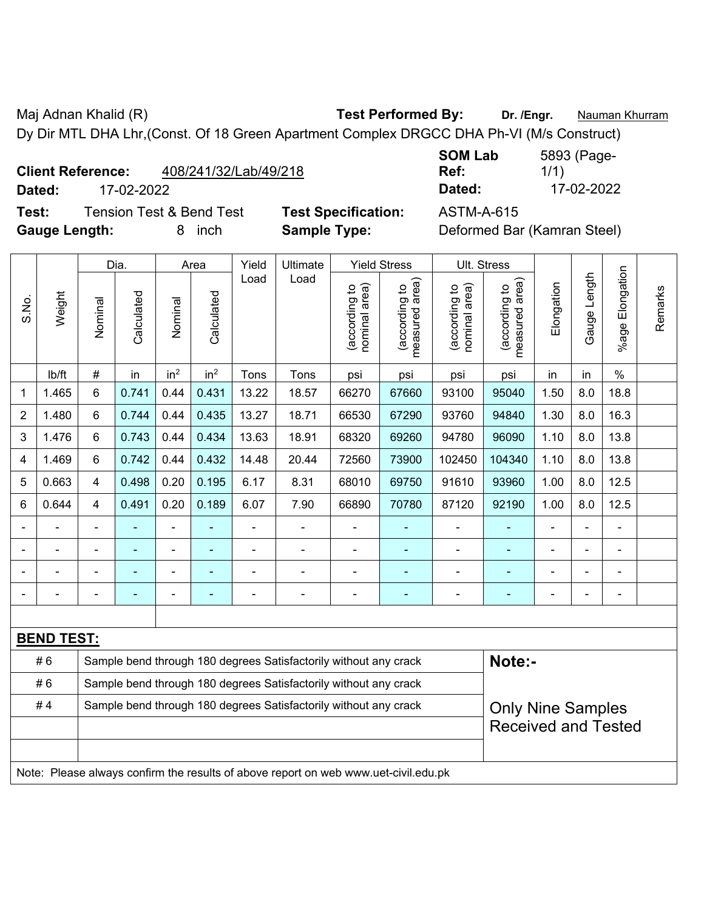Maj Adnan Khalid (R) **Test Performed By: Dr. /Engr.** Nauman Khurram Dy Dir MTL DHA Lhr,(Const. Of 18 Green Apartment Complex DRGCC DHA Ph-VI (M/s Construct)

**Test:** Tension Test & Bend Test **Test Specification:** ASTM-A-615 **Gauge Length:** 8 inch **Sample Type:** Deformed Bar (Kamran Steel)

|                          |            |                       | <b>SOM Lab</b> | 5893 (Page- |
|--------------------------|------------|-----------------------|----------------|-------------|
| <b>Client Reference:</b> |            | 408/241/32/Lab/49/218 | Ref:           | 1/1)        |
| Dated:                   | 17-02-2022 |                       | Dated:         | 17-02-2022  |

|                                                                        |                   |                | Dia.           |                 | Area                     | Yield          | Ultimate                                                                            |                                | <b>Yield Stress</b>             |                                | Ult. Stress                     |            |              |                       |         |
|------------------------------------------------------------------------|-------------------|----------------|----------------|-----------------|--------------------------|----------------|-------------------------------------------------------------------------------------|--------------------------------|---------------------------------|--------------------------------|---------------------------------|------------|--------------|-----------------------|---------|
| S.No.                                                                  | Weight            | Nominal        | Calculated     | Nominal         | Calculated               | Load           | Load                                                                                | nominal area)<br>(according to | (according to<br>measured area) | nominal area)<br>(according to | measured area)<br>(according to | Elongation | Gauge Length | Elongation<br>$%$ age | Remarks |
|                                                                        | lb/ft             | $\#$           | in             | in <sup>2</sup> | in <sup>2</sup>          | Tons           | Tons                                                                                | psi                            | psi                             | psi                            | psi                             | in         | in           | $\%$                  |         |
| $\mathbf 1$                                                            | 1.465             | 6              | 0.741          | 0.44            | 0.431                    | 13.22          | 18.57                                                                               | 66270                          | 67660                           | 93100                          | 95040                           | 1.50       | 8.0          | 18.8                  |         |
| $\overline{2}$                                                         | 1.480             | 6              | 0.744          | 0.44            | 0.435                    | 13.27          | 18.71                                                                               | 66530                          | 67290                           | 93760                          | 94840                           | 1.30       | 8.0          | 16.3                  |         |
| 3                                                                      | 1.476             | 6              | 0.743          | 0.44            | 0.434                    | 13.63          | 18.91                                                                               | 68320                          | 69260                           | 94780                          | 96090                           | 1.10       | 8.0          | 13.8                  |         |
| 4                                                                      | 1.469             | 6              | 0.742          | 0.44            | 0.432                    | 14.48          | 20.44                                                                               | 72560                          | 73900                           | 102450                         | 104340                          | 1.10       | 8.0          | 13.8                  |         |
| 5                                                                      | 0.663             | 4              | 0.498          | 0.20            | 0.195                    | 6.17           | 8.31                                                                                | 68010                          | 69750                           | 91610                          | 93960                           | 1.00       | 8.0          | 12.5                  |         |
| 6                                                                      | 0.644             | 4              | 0.491          | 0.20            | 0.189                    | 6.07           | 7.90                                                                                | 66890                          | 70780                           | 87120                          | 92190                           | 1.00       | 8.0          | 12.5                  |         |
|                                                                        | $\blacksquare$    | $\blacksquare$ | $\blacksquare$ | ÷,              | $\overline{\phantom{a}}$ | $\blacksquare$ | $\blacksquare$                                                                      | $\blacksquare$                 | $\blacksquare$                  | $\blacksquare$                 | ÷,                              | ÷          | ä,           | ä,                    |         |
|                                                                        |                   |                | $\blacksquare$ | ÷               | $\overline{\phantom{a}}$ |                |                                                                                     | ÷                              | $\blacksquare$                  | ÷,                             |                                 |            | ä,           | $\blacksquare$        |         |
|                                                                        |                   |                |                |                 |                          |                |                                                                                     |                                | $\blacksquare$                  | $\blacksquare$                 |                                 |            |              |                       |         |
|                                                                        |                   |                |                | ÷               |                          |                |                                                                                     | ٠                              | ÷                               | ÷                              |                                 |            | ٠            | $\blacksquare$        |         |
|                                                                        |                   |                |                |                 |                          |                |                                                                                     |                                |                                 |                                |                                 |            |              |                       |         |
|                                                                        | <b>BEND TEST:</b> |                |                |                 |                          |                |                                                                                     |                                |                                 |                                |                                 |            |              |                       |         |
|                                                                        | #6                |                |                |                 |                          |                | Sample bend through 180 degrees Satisfactorily without any crack                    |                                |                                 |                                | Note:-                          |            |              |                       |         |
|                                                                        | #6                |                |                |                 |                          |                | Sample bend through 180 degrees Satisfactorily without any crack                    |                                |                                 |                                |                                 |            |              |                       |         |
| Sample bend through 180 degrees Satisfactorily without any crack<br>#4 |                   |                |                |                 |                          |                |                                                                                     |                                |                                 | <b>Only Nine Samples</b>       |                                 |            |              |                       |         |
|                                                                        |                   |                |                |                 |                          |                |                                                                                     |                                |                                 |                                | <b>Received and Tested</b>      |            |              |                       |         |
|                                                                        |                   |                |                |                 |                          |                |                                                                                     |                                |                                 |                                |                                 |            |              |                       |         |
|                                                                        |                   |                |                |                 |                          |                | Note: Please always confirm the results of above report on web www.uet-civil.edu.pk |                                |                                 |                                |                                 |            |              |                       |         |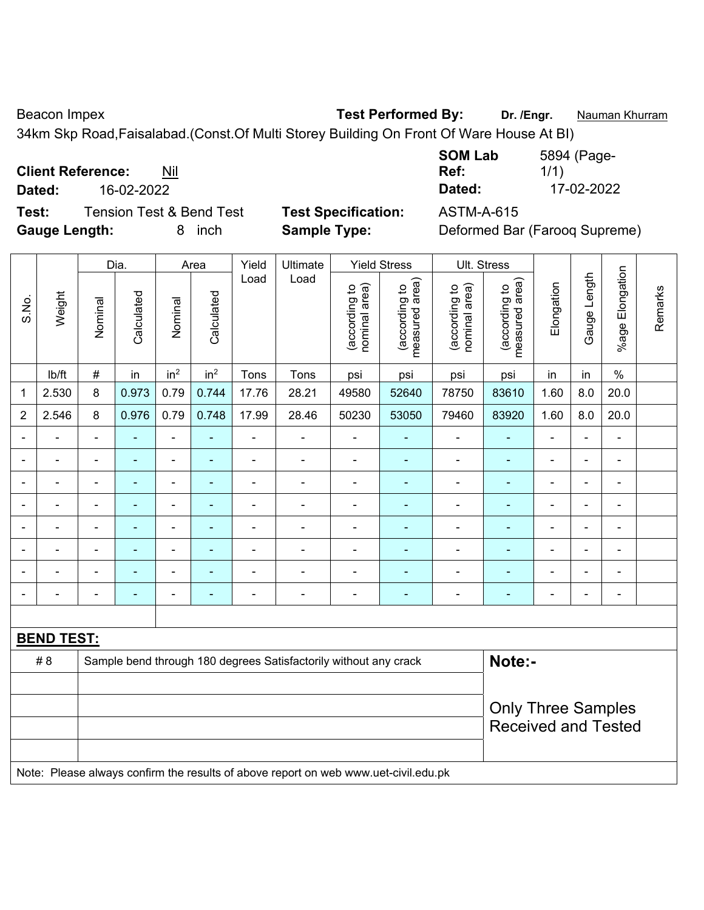$\overline{\phantom{a}}$ 

Beacon Impex **Test Performed By:** Dr. /Engr. **Nauman Khurram** 

34km Skp Road,Faisalabad.(Const.Of Multi Storey Building On Front Of Ware House At BI)

**Client Reference:** Nil

 $\overline{\phantom{0}}$ 

**Test:** Tension Test & Bend Test **Test Specification:** ASTM-A-615

 $\top$ 

**SOM Lab Ref:**  5894 (Page-1/1) **Dated:** 16-02-2022 **Dated:** 17-02-2022

 $\overline{\phantom{a}}$ 

**Gauge Length:** 8 inch **Sample Type:** Deformed Bar (Farooq Supreme)  $\top$  $\overline{\mathbf{T}}$  $\overline{1}$ 

|                |                   |                            | Dia.           | Area                         |                 | Yield          | Ultimate                                                                            |                                | <b>Yield Stress</b>             |                                | Ult. Stress                     |                          |                          |                          |         |
|----------------|-------------------|----------------------------|----------------|------------------------------|-----------------|----------------|-------------------------------------------------------------------------------------|--------------------------------|---------------------------------|--------------------------------|---------------------------------|--------------------------|--------------------------|--------------------------|---------|
| S.No.          | Weight            | Nominal                    | Calculated     | Nominal                      | Calculated      | Load           | Load                                                                                | nominal area)<br>(according to | (according to<br>measured area) | (according to<br>nominal area) | measured area)<br>(according to | Elongation               | Gauge Length             | %age Elongation          | Remarks |
|                | lb/ft             | $\#$                       | in             | in <sup>2</sup>              | in <sup>2</sup> | Tons           | Tons                                                                                | psi                            | psi                             | psi                            | psi                             | in                       | in                       | $\%$                     |         |
| 1              | 2.530             | 8                          | 0.973          | 0.79                         | 0.744           | 17.76          | 28.21                                                                               | 49580                          | 52640                           | 78750                          | 83610                           | 1.60                     | 8.0                      | 20.0                     |         |
| $\overline{2}$ | 2.546             | 8                          | 0.976          | 0.79                         | 0.748           | 17.99          | 28.46                                                                               | 50230                          | 53050                           | 79460                          | 83920                           | 1.60                     | 8.0                      | 20.0                     |         |
|                |                   | $\blacksquare$             | ä,             | $\qquad \qquad \blacksquare$ |                 | $\blacksquare$ |                                                                                     | $\overline{\phantom{a}}$       | $\blacksquare$                  | $\overline{\phantom{a}}$       | $\blacksquare$                  | $\blacksquare$           | $\blacksquare$           | $\blacksquare$           |         |
|                | $\blacksquare$    | $\blacksquare$             | ÷,             | $\frac{1}{2}$                | ÷               | $\blacksquare$ | $\frac{1}{2}$                                                                       | $\blacksquare$                 | $\blacksquare$                  | $\overline{\phantom{a}}$       | $\blacksquare$                  | ۰                        | $\blacksquare$           | $\blacksquare$           |         |
|                |                   |                            | ۰              | $\blacksquare$               |                 |                |                                                                                     | $\overline{\phantom{0}}$       | $\blacksquare$                  | $\overline{\phantom{0}}$       | $\blacksquare$                  |                          |                          | $\blacksquare$           |         |
|                |                   |                            |                | $\blacksquare$               |                 |                |                                                                                     | $\blacksquare$                 | ٠                               | $\blacksquare$                 | $\blacksquare$                  |                          |                          | $\blacksquare$           |         |
| $\blacksquare$ |                   | $\blacksquare$             | ÷              | ÷                            | ۰               | ٠              |                                                                                     | $\overline{\phantom{a}}$       | $\blacksquare$                  | $\overline{a}$                 | $\blacksquare$                  | $\overline{\phantom{a}}$ | $\blacksquare$           | $\overline{\phantom{a}}$ |         |
|                |                   | $\blacksquare$             | $\blacksquare$ | $\overline{\phantom{a}}$     | ۰               |                |                                                                                     | $\overline{\phantom{a}}$       | $\blacksquare$                  | $\blacksquare$                 | $\blacksquare$                  | ۰                        | $\blacksquare$           | $\blacksquare$           |         |
|                |                   |                            | $\blacksquare$ | ä,                           |                 |                |                                                                                     | $\blacksquare$                 | ä,                              | $\blacksquare$                 | $\blacksquare$                  | $\blacksquare$           |                          | $\blacksquare$           |         |
|                |                   | $\blacksquare$             |                | ۰                            | ۰               |                |                                                                                     | ÷                              |                                 |                                |                                 | $\blacksquare$           | $\overline{\phantom{0}}$ |                          |         |
|                |                   |                            |                |                              |                 |                |                                                                                     |                                |                                 |                                |                                 |                          |                          |                          |         |
|                | <b>BEND TEST:</b> |                            |                |                              |                 |                |                                                                                     |                                |                                 |                                |                                 |                          |                          |                          |         |
|                | # 8               |                            |                |                              |                 |                | Sample bend through 180 degrees Satisfactorily without any crack                    |                                |                                 |                                | Note:-                          |                          |                          |                          |         |
|                |                   |                            |                |                              |                 |                |                                                                                     |                                |                                 |                                |                                 |                          |                          |                          |         |
|                |                   | <b>Only Three Samples</b>  |                |                              |                 |                |                                                                                     |                                |                                 |                                |                                 |                          |                          |                          |         |
|                |                   | <b>Received and Tested</b> |                |                              |                 |                |                                                                                     |                                |                                 |                                |                                 |                          |                          |                          |         |
|                |                   |                            |                |                              |                 |                |                                                                                     |                                |                                 |                                |                                 |                          |                          |                          |         |
|                |                   |                            |                |                              |                 |                | Note: Please always confirm the results of above report on web www.uet-civil.edu.pk |                                |                                 |                                |                                 |                          |                          |                          |         |